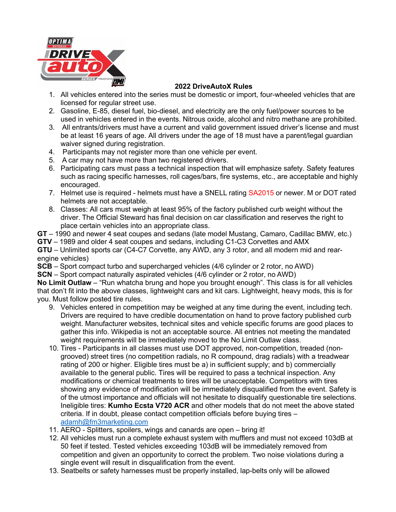

## **2022 DriveAutoX Rules**

- 1. All vehicles entered into the series must be domestic or import, four-wheeled vehicles that are licensed for regular street use.
- 2. Gasoline, E-85, diesel fuel, bio-diesel, and electricity are the only fuel/power sources to be used in vehicles entered in the events. Nitrous oxide, alcohol and nitro methane are prohibited.
- 3. All entrants/drivers must have a current and valid government issued driver's license and must be at least 16 years of age. All drivers under the age of 18 must have a parent/legal guardian waiver signed during registration.
- 4. Participants may not register more than one vehicle per event.
- 5. A car may not have more than two registered drivers.
- 6. Participating cars must pass a technical inspection that will emphasize safety. Safety features such as racing specific harnesses, roll cages/bars, fire systems, etc., are acceptable and highly encouraged.
- 7. Helmet use is required helmets must have a SNELL rating SA2015 or newer. M or DOT rated helmets are not acceptable.
- 8. Classes: All cars must weigh at least 95% of the factory published curb weight without the driver. The Official Steward has final decision on car classification and reserves the right to place certain vehicles into an appropriate class.
- **GT** 1990 and newer 4 seat coupes and sedans (late model Mustang, Camaro, Cadillac BMW, etc.)
- **GTV** 1989 and older 4 seat coupes and sedans, including C1-C3 Corvettes and AMX

**GTU** – Unlimited sports car (C4-C7 Corvette, any AWD, any 3 rotor, and all modern mid and rearengine vehicles)

- **SCB** Sport compact turbo and supercharged vehicles (4/6 cylinder or 2 rotor, no AWD)
- **SCN** Sport compact naturally aspirated vehicles (4/6 cylinder or 2 rotor, no AWD)

**No Limit Outlaw** – "Run whatcha brung and hope you brought enough". This class is for all vehicles that don't fit into the above classes, lightweight cars and kit cars. Lightweight, heavy mods, this is for you. Must follow posted tire rules.

- 9. Vehicles entered in competition may be weighed at any time during the event, including tech. Drivers are required to have credible documentation on hand to prove factory published curb weight. Manufacturer websites, technical sites and vehicle specific forums are good places to gather this info. Wikipedia is not an acceptable source. All entries not meeting the mandated weight requirements will be immediately moved to the No Limit Outlaw class.
- 10. Tires Participants in all classes must use DOT approved, non-competition, treaded (nongrooved) street tires (no competition radials, no R compound, drag radials) with a treadwear rating of 200 or higher. Eligible tires must be a) in sufficient supply; and b) commercially available to the general public. Tires will be required to pass a technical inspection. Any modifications or chemical treatments to tires will be unacceptable. Competitors with tires showing any evidence of modification will be immediately disqualified from the event. Safety is of the utmost importance and officials will not hesitate to disqualify questionable tire selections. Ineligible tires: **Kumho Ecsta V720 ACR** and other models that do not meet the above stated criteria. If in doubt, please contact competition officials before buying tires – adamh@fm3marketing.com
- 11. AERO Splitters, spoilers, wings and canards are open bring it!
- 12. All vehicles must run a complete exhaust system with mufflers and must not exceed 103dB at 50 feet if tested. Tested vehicles exceeding 103dB will be immediately removed from competition and given an opportunity to correct the problem. Two noise violations during a single event will result in disqualification from the event.
- 13. Seatbelts or safety harnesses must be properly installed, lap-belts only will be allowed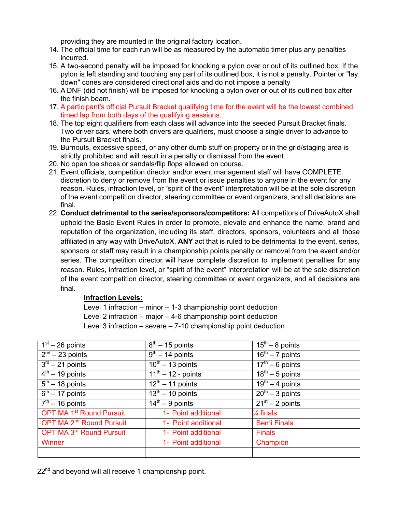providing they are mounted in the original factory location.

- 14. The official time for each run will be as measured by the automatic timer plus any penalties incurred.
- 15. A two-second penalty will be imposed for knocking a pylon over or out of its outlined box. If the pylon is left standing and touching any part of its outlined box, it is not a penalty. Pointer or "lay down" cones are considered directional aids and do not impose a penalty
- 16. A DNF (did not finish) will be imposed for knocking a pylon over or out of its outlined box after the finish beam.
- 17. A participant's official Pursuit Bracket qualifying time for the event will be the lowest combined timed lap from both days of the qualifying sessions.
- 18. The top eight qualifiers from each class will advance into the seeded Pursuit Bracket finals. Two driver cars, where both drivers are qualifiers, must choose a single driver to advance to the Pursuit Bracket finals.
- 19. Burnouts, excessive speed, or any other dumb stuff on property or in the grid/staging area is strictly prohibited and will result in a penalty or dismissal from the event.
- 20. No open toe shoes or sandals/flip flops allowed on course.
- 21. Event officials, competition director and/or event management staff will have COMPLETE discretion to deny or remove from the event or issue penalties to anyone in the event for any reason. Rules, infraction level, or "spirit of the event" interpretation will be at the sole discretion of the event competition director, steering committee or event organizers, and all decisions are final.
- 22. **Conduct detrimental to the series/sponsors/competitors:** All competitors of DriveAutoX shall uphold the Basic Event Rules in order to promote, elevate and enhance the name, brand and reputation of the organization, including its staff, directors, sponsors, volunteers and all those affiliated in any way with DriveAutoX. **ANY** act that is ruled to be detrimental to the event, series, sponsors or staff may result in a championship points penalty or removal from the event and/or series. The competition director will have complete discretion to implement penalties for any reason. Rules, infraction level, or "spirit of the event" interpretation will be at the sole discretion of the event competition director, steering committee or event organizers, and all decisions are final.

## **Infraction Levels:**

Level 1 infraction – minor – 1-3 championship point deduction Level 2 infraction – major – 4-6 championship point deduction Level 3 infraction – severe – 7-10 championship point deduction

| $\overline{1}^{\rm st}$ – 26 points  | $8th - 15$ points                            | $15th - 8$ points                     |
|--------------------------------------|----------------------------------------------|---------------------------------------|
| $2nd - 23$ points                    | $9th - 14$ points                            | $16th - 7$ points                     |
| $3rd - 21$ points                    | $\frac{10^{\text{th}} - 13}{\text{ points}}$ | $\overline{17^{th} - 6}$ points       |
| $4th - 19$ points                    | $11^{th} - 12$ - points                      | $\frac{1}{18^{\text{th}} - 5}$ points |
| $5th - 18$ points                    | $12th - 11$ points                           | $19th - 4 points$                     |
| $\sqrt{6^{th} - 17}$ points          | $\sqrt{13^{th} - 10}$ points                 | $\overline{20^{th} - 3}$ points       |
| $7th - 16$ points                    | $14th - 9$ points                            | $21st - 2 points$                     |
| <b>OPTIMA 1st Round Pursuit</b>      | 1- Point additional                          | $\frac{1}{4}$ finals                  |
| OPTIMA 2 <sup>nd</sup> Round Pursuit | 1- Point additional                          | <b>Semi Finals</b>                    |
| <b>OPTIMA 3rd Round Pursuit</b>      | 1- Point additional                          | <b>Finals</b>                         |
| Winner                               | 1- Point additional                          | Champion                              |
|                                      |                                              |                                       |

22<sup>nd</sup> and beyond will all receive 1 championship point.